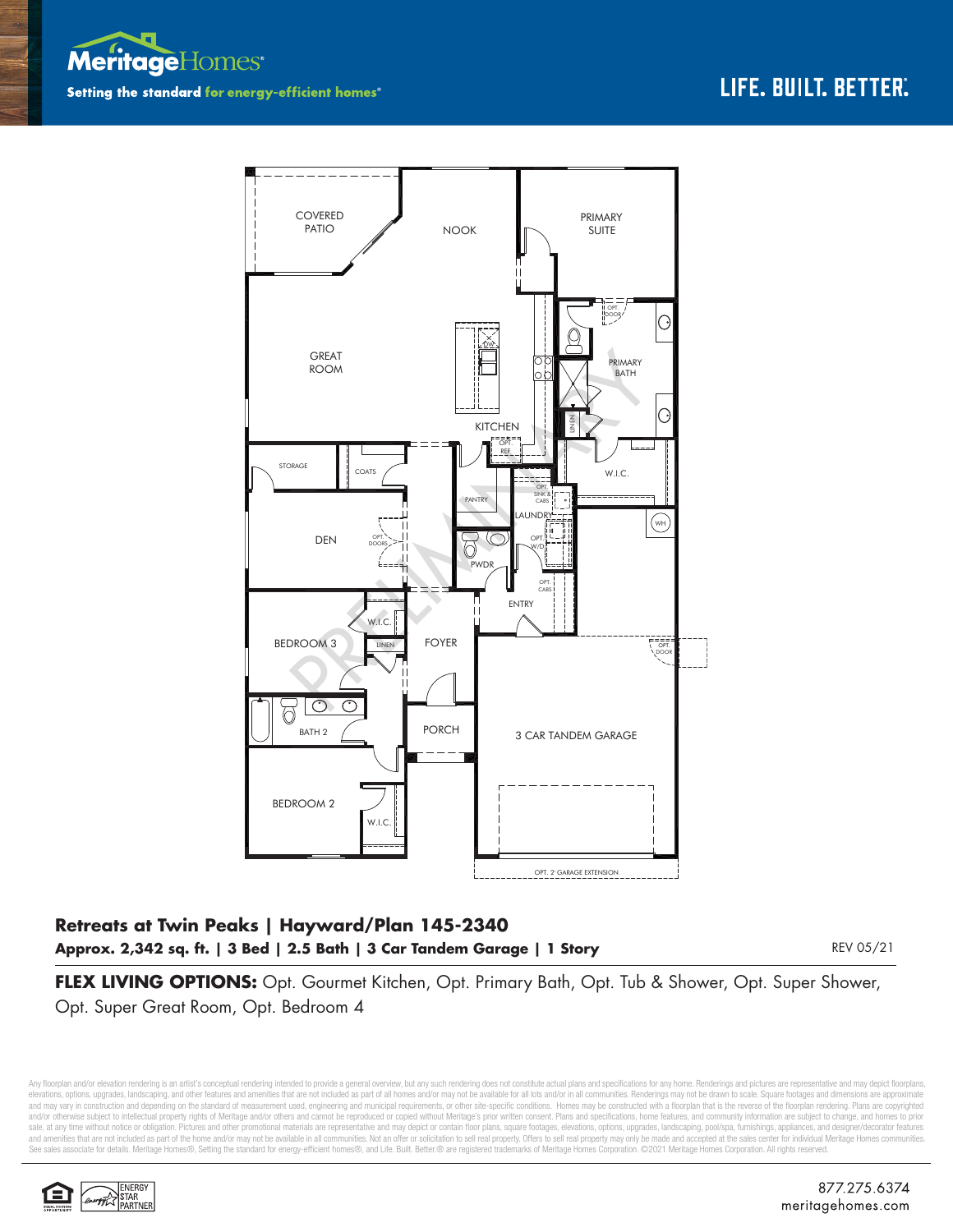



## **Retreats at Twin Peaks | Hayward/Plan 145-2340 Approx. 2,342 sq. ft. | 3 Bed | 2.5 Bath | 3 Car Tandem Garage | 1 Story**

REV 05/21

**FLEX LIVING OPTIONS:** Opt. Gourmet Kitchen, Opt. Primary Bath, Opt. Tub & Shower, Opt. Super Shower, Opt. Super Great Room, Opt. Bedroom 4

Any floorplan and/or elevation rendering is an artist's conceptual rendering intended to provide a general overview, but any such rendering does not constitute actual plans and specifications for any home. Renderings and p elevations, options, upgrades, landscaping, and other features and amenities that are not included as part of all homes and/or may not be available for all lots and/or in all communities. Renderings may not be drawn to sca and may vary in construction and depending on the standard of measurement used, engineering and municipal requirements, or other site-specific conditions. Homes may be constructed with a floorplan that is the reverse of th and/or otherwise subject to intellectual property rights of Meritage and/or others and cannot be reproduced or copied without Meritage's prior written consent. Plans and specifications, home features, and community informa sale, at any time without notice or obligation. Pictures and other promotional materials are representative and may depict or contain floor plans, square footages, elevations, options, upgrades, landscaping, pool/spa, furn and amenities that are not included as part of the home and/or may not be available in all communities. Not an offer or solicitation to sell real property. Offers to sell real property may only be made and accepted at the See sales associate for details. Meritage Homes®, Setting the standard for energy-efficient homes®, and Life. Built. Better.® are registered trademarks of Meritage Homes Corporation. ©2021 Meritage Homes Corporation. All r